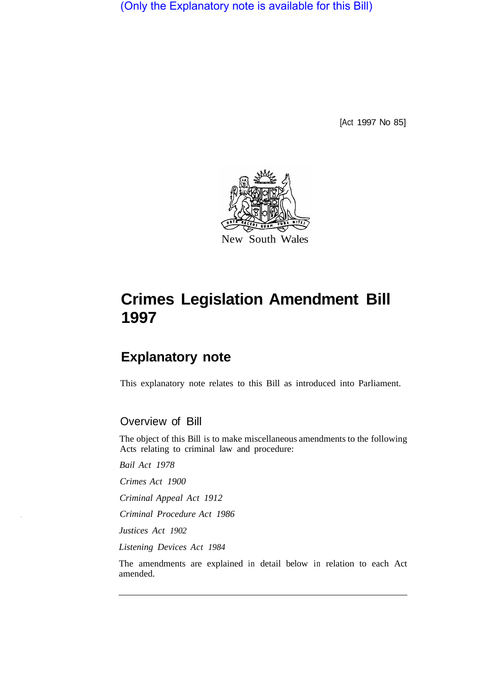(Only the Explanatory note is available for this Bill)

[Act 1997 No 85]



# **Crimes Legislation Amendment Bill 1997**

# **Explanatory note**

This explanatory note relates to this Bill as introduced into Parliament.

Overview of Bill

The object of this Bill is to make miscellaneous amendments to the following Acts relating to criminal law and procedure:

*Bail Act 1978* 

*Crimes Act 1900* 

*Criminal Appeal Act 1912* 

*Criminal Procedure Act 1986* 

*Justices Act 1902* 

*Listening Devices Act 1984* 

The amendments are explained in detail below in relation to each Act amended.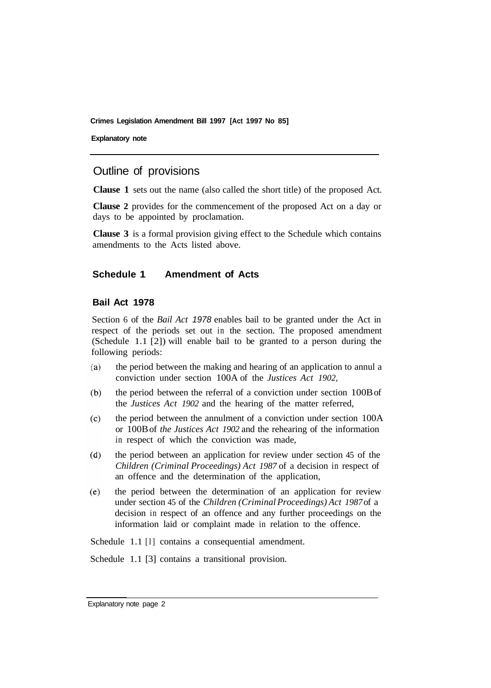**Explanatory note** 

# Outline of provisions

**Clause 1** sets out the name (also called the short title) of the proposed Act.

**Clause 2** provides for the commencement of the proposed Act on a day or days to be appointed by proclamation.

**Clause 3** is a formal provision giving effect to the Schedule which contains amendments to the Acts listed above.

# **Schedule 1 Amendment of Acts**

#### **Bail Act 1978**

Section 6 of the *Bail Act 1978* enables bail to be granted under the Act in respect of the periods set out in the section. The proposed amendment (Schedule 1.1 [2]) will enable bail to be granted to a person during the following periods:

- $(a)$ the period between the making and hearing of an application to annul a conviction under section 100A of the *Justices Act 1902,*
- the period between the referral of a conviction under section 100B of  $(b)$ the *Justices Act 1902* and the hearing of the matter referred,
- $(c)$ the period between the annulment of a conviction under section 100A or 100B of *the Justices Act 1902* and the rehearing of the information in respect of which the conviction was made,
- $(d)$ the period between an application for review under section 45 of the *Children (Criminal Proceedings) Act 1987* of a decision in respect of an offence and the determination of the application,
- $(e)$ the period between the determination of an application for review under section 45 of the *Children (Criminal Proceedings) Act 1987* of a decision in respect of an offence and any further proceedings on the information laid or complaint made in relation to the offence.

Schedule 1.1 [1] contains a consequential amendment.

Schedule 1.1 [3] contains a transitional provision.

Explanatory note page 2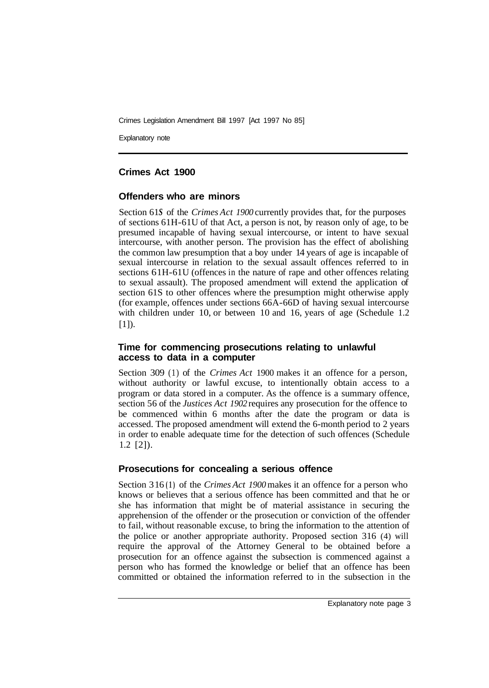Explanatory note

# **Crimes Act 1900**

#### **Offenders who are minors**

Section 61S of the *Crimes Act 1900* currently provides that, for the purposes of sections 61H-61U of that Act, a person is not, by reason only of age, to be presumed incapable of having sexual intercourse, or intent to have sexual intercourse, with another person. The provision has the effect of abolishing the common law presumption that a boy under 14 years of age is incapable of sexual intercourse in relation to the sexual assault offences referred to in sections 6 1H-61U (offences in the nature of rape and other offences relating to sexual assault). The proposed amendment will extend the application of section 61S to other offences where the presumption might otherwise apply (for example, offences under sections 66A-66D of having sexual intercourse with children under 10, or between 10 and 16, years of age (Schedule 1.2)  $[1]$ ).

#### **Time for commencing prosecutions relating to unlawful access to data in a computer**

Section 309 (1) of the *Crimes Act* 1900 makes it an offence for a person, without authority or lawful excuse, to intentionally obtain access to a program or data stored in a computer. As the offence is a summary offence, section 56 of the *Justices Act 1902* requires any prosecution for the offence to be commenced within 6 months after the date the program or data is accessed. The proposed amendment will extend the 6-month period to 2 years in order to enable adequate time for the detection of such offences (Schedule 1.2 [2]).

#### **Prosecutions for concealing a serious offence**

Section 3 16 **(1)** of the *Crimes Act 1900*makes it an offence for a person who knows or believes that a serious offence has been committed and that he or she has information that might be of material assistance in securing the apprehension of the offender or the prosecution or conviction of the offender to fail, without reasonable excuse, to bring the information to the attention of the police or another appropriate authority. Proposed section 316 (4) will require the approval of the Attorney General to be obtained before a prosecution for an offence against the subsection is commenced against a person who has formed the knowledge or belief that an offence has been committed or obtained the information referred to in the subsection in the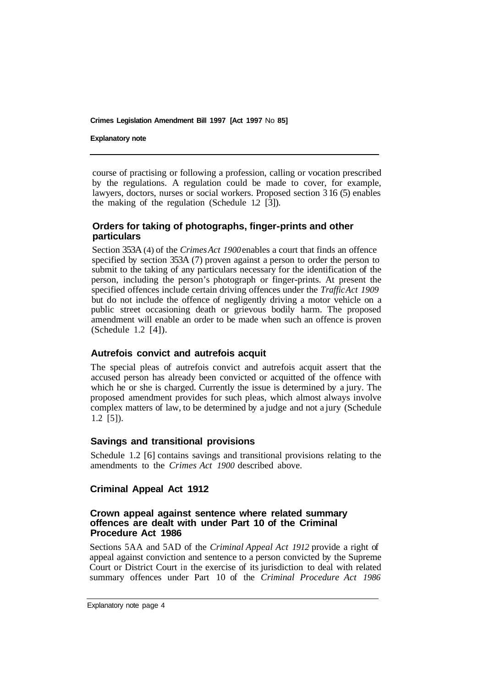#### **Explanatory note**

course of practising or following a profession, calling or vocation prescribed by the regulations. A regulation could be made to cover, for example, lawyers, doctors, nurses or social workers. Proposed section 3 16 (5) enables the making of the regulation (Schedule 1.2 [3]).

# **Orders for taking of photographs, finger-prints and other particulars**

Section 353A (4) of the *Crimes Act 1900*enables a court that finds an offence specified by section 353A (7) proven against a person to order the person to submit to the taking of any particulars necessary for the identification of the person, including the person's photograph or finger-prints. At present the specified offences include certain driving offences under the *Traffic Act 1909*  but do not include the offence of negligently driving a motor vehicle on a public street occasioning death or grievous bodily harm. The proposed amendment will enable an order to be made when such an offence is proven (Schedule 1.2 [4]).

#### **Autrefois convict and autrefois acquit**

The special pleas of autrefois convict and autrefois acquit assert that the accused person has already been convicted or acquitted of the offence with which he or she is charged. Currently the issue is determined by a jury. The proposed amendment provides for such pleas, which almost always involve complex matters of law, to be determined by a judge and not a jury (Schedule 1.2 [5]).

#### **Savings and transitional provisions**

Schedule 1.2 [6] contains savings and transitional provisions relating to the amendments to the *Crimes Act 1900* described above.

# **Criminal Appeal Act 1912**

#### **Crown appeal against sentence where related summary offences are dealt with under Part 10 of the Criminal Procedure Act 1986**

Sections 5AA and 5AD of the *Criminal Appeal Act 1912* provide a right of appeal against conviction and sentence to a person convicted by the Supreme Court or District Court in the exercise of its jurisdiction to deal with related summary offences under Part 10 of the *Criminal Procedure Act 1986* 

Explanatory note page 4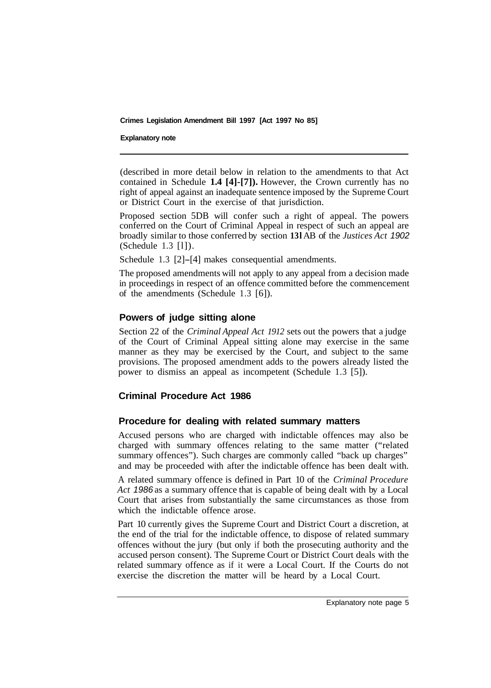#### **Explanatory note**

(described in more detail below in relation to the amendments to that Act contained in Schedule **1.4 [4]-[7]).** However, the Crown currently has no right of appeal against an inadequate sentence imposed by the Supreme Court or District Court in the exercise of that jurisdiction.

Proposed section 5DB will confer such a right of appeal. The powers conferred on the Court of Criminal Appeal in respect of such an appeal are broadly similar to those conferred by section **13 l** AB of the *Justices Act 1902*  (Schedule 1.3 [l]).

Schedule 1.3 [2]-[4] makes consequential amendments.

The proposed amendments will not apply to any appeal from a decision made in proceedings in respect of an offence committed before the commencement of the amendments (Schedule 1.3 [6]).

#### **Powers of judge sitting alone**

Section 22 of the *Criminal Appeal Act 1912* sets out the powers that a judge of the Court of Criminal Appeal sitting alone may exercise in the same manner as they may be exercised by the Court, and subject to the same provisions. The proposed amendment adds to the powers already listed the power to dismiss an appeal as incompetent (Schedule 1.3 [5]).

# **Criminal Procedure Act 1986**

#### **Procedure for dealing with related summary matters**

Accused persons who are charged with indictable offences may also be charged with summary offences relating to the same matter ("related summary offences"). Such charges are commonly called "back up charges" and may be proceeded with after the indictable offence has been dealt with.

A related summary offence is defined in Part 10 of the *Criminal Procedure Act 1986* as a summary offence that is capable of being dealt with by a Local Court that arises from substantially the same circumstances as those from which the indictable offence arose.

Part 10 currently gives the Supreme Court and District Court a discretion, at the end of the trial for the indictable offence, to dispose of related summary offences without the jury (but only if both the prosecuting authority and the accused person consent). The Supreme Court or District Court deals with the related summary offence as if it were a Local Court. If the Courts do not exercise the discretion the matter will be heard by a Local Court.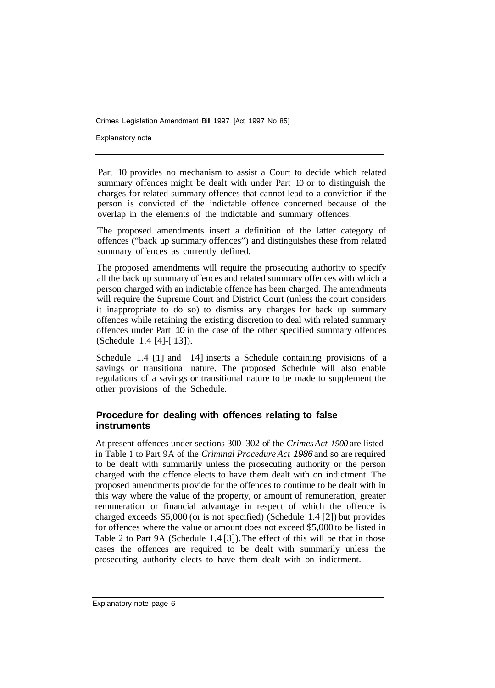Explanatory note

Part 10 provides no mechanism to assist a Court to decide which related summary offences might be dealt with under Part 10 or to distinguish the charges for related summary offences that cannot lead to a conviction if the person is convicted of the indictable offence concerned because of the overlap in the elements of the indictable and summary offences.

The proposed amendments insert a definition of the latter category of offences ("back up summary offences") and distinguishes these from related summary offences as currently defined.

The proposed amendments will require the prosecuting authority to specify all the back up summary offences and related summary offences with which a person charged with an indictable offence has been charged. The amendments will require the Supreme Court and District Court (unless the court considers it inappropriate to do so) to dismiss any charges for back up summary offences while retaining the existing discretion to deal with related summary offences under Part 10 in the case of the other specified summary offences (Schedule 1.4 [4]-[ 13]).

Schedule  $1.4$  [1] and  $14$ ] inserts a Schedule containing provisions of a savings or transitional nature. The proposed Schedule will also enable regulations of a savings or transitional nature to be made to supplement the other provisions of the Schedule.

# **Procedure for dealing with offences relating to false instruments**

At present offences under sections 300-302 of the *Crimes Act 1900* are listed in Table **1** to Part 9A of the *Criminal Procedure Act 1986* and so are required to be dealt with summarily unless the prosecuting authority or the person charged with the offence elects to have them dealt with on indictment. The proposed amendments provide for the offences to continue to be dealt with in this way where the value of the property, or amount of remuneration, greater remuneration or financial advantage in respect of which the offence is charged exceeds \$5,000 (or is not specified) (Schedule 1.4 [2]) but provides for offences where the value or amount does not exceed \$5,000 to be listed in Table 2 to Part 9A (Schedule 1.4 [3]). The effect of this will be that in those cases the offences are required to be dealt with summarily unless the prosecuting authority elects to have them dealt with on indictment.